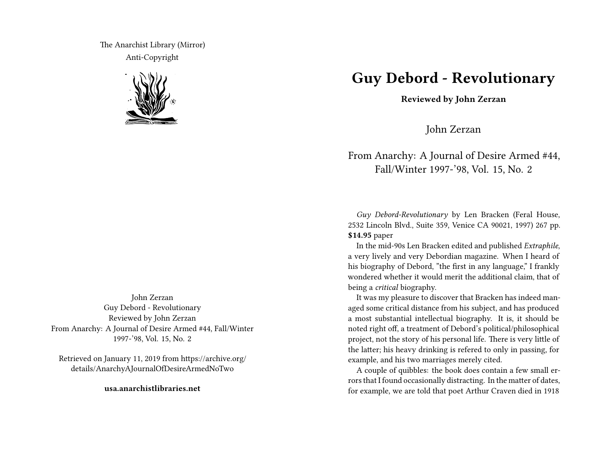The Anarchist Library (Mirror) Anti-Copyright



John Zerzan Guy Debord - Revolutionary Reviewed by John Zerzan From Anarchy: A Journal of Desire Armed #44, Fall/Winter 1997-'98, Vol. 15, No. 2

Retrieved on January 11, 2019 from https://archive.org/ details/AnarchyAJournalOfDesireArmedNoTwo

**usa.anarchistlibraries.net**

## **Guy Debord - Revolutionary**

**Reviewed by John Zerzan**

John Zerzan

## From Anarchy: A Journal of Desire Armed #44, Fall/Winter 1997-'98, Vol. 15, No. 2

*Guy Debord-Revolutionary* by Len Bracken (Feral House, 2532 Lincoln Blvd., Suite 359, Venice CA 90021, 1997) 267 pp. **\$14.95** paper

In the mid-90s Len Bracken edited and published *Extraphile*, a very lively and very Debordian magazine. When I heard of his biography of Debord, "the first in any language," I frankly wondered whether it would merit the additional claim, that of being a *critical* biography.

It was my pleasure to discover that Bracken has indeed managed some critical distance from his subject, and has produced a most substantial intellectual biography. It is, it should be noted right off, a treatment of Debord's political/philosophical project, not the story of his personal life. There is very little of the latter; his heavy drinking is refered to only in passing, for example, and his two marriages merely cited.

A couple of quibbles: the book does contain a few small errors that I found occasionally distracting. In the matter of dates, for example, we are told that poet Arthur Craven died in 1918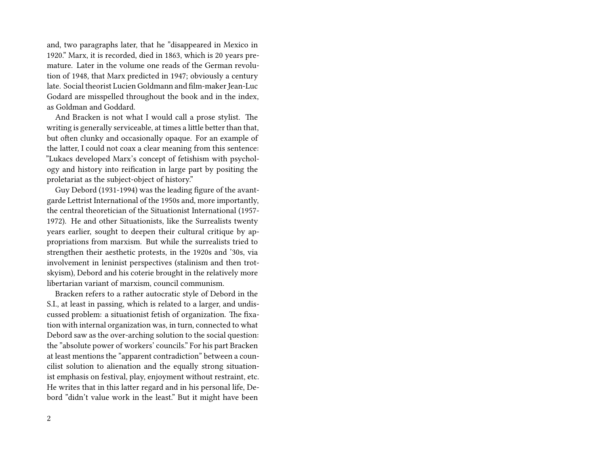and, two paragraphs later, that he "disappeared in Mexico in 1920." Marx, it is recorded, died in 1863, which is 20 years premature. Later in the volume one reads of the German revolution of 1948, that Marx predicted in 1947; obviously a century late. Social theorist Lucien Goldmann and film-maker Jean-Luc Godard are misspelled throughout the book and in the index, as Goldman and Goddard.

And Bracken is not what I would call a prose stylist. The writing is generally serviceable, at times a little better than that, but often clunky and occasionally opaque. For an example of the latter, I could not coax a clear meaning from this sentence: "Lukacs developed Marx's concept of fetishism with psychology and history into reification in large part by positing the proletariat as the subject-object of history."

Guy Debord (1931-1994) was the leading figure of the avantgarde Lettrist International of the 1950s and, more importantly, the central theoretician of the Situationist International (1957- 1972). He and other Situationists, like the Surrealists twenty years earlier, sought to deepen their cultural critique by appropriations from marxism. But while the surrealists tried to strengthen their aesthetic protests, in the 1920s and '30s, via involvement in leninist perspectives (stalinism and then trotskyism), Debord and his coterie brought in the relatively more libertarian variant of marxism, council communism.

Bracken refers to a rather autocratic style of Debord in the S.I., at least in passing, which is related to a larger, and undiscussed problem: a situationist fetish of organization. The fixation with internal organization was, in turn, connected to what Debord saw as the over-arching solution to the social question: the "absolute power of workers' councils." For his part Bracken at least mentions the "apparent contradiction" between a councilist solution to alienation and the equally strong situationist emphasis on festival, play, enjoyment without restraint, etc. He writes that in this latter regard and in his personal life, Debord "didn't value work in the least." But it might have been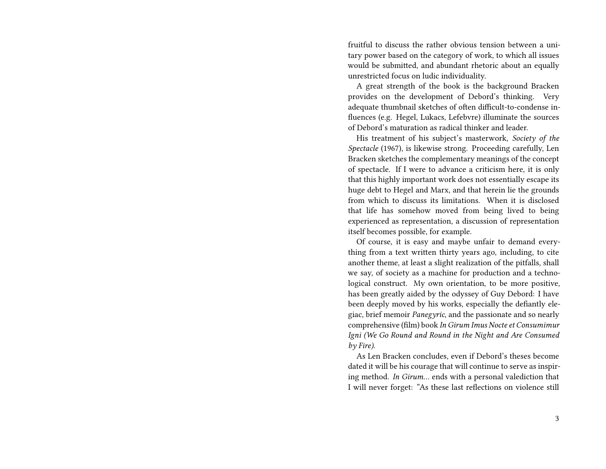fruitful to discuss the rather obvious tension between a unitary power based on the category of work, to which all issues would be submitted, and abundant rhetoric about an equally unrestricted focus on ludic individuality.

A great strength of the book is the background Bracken provides on the development of Debord's thinking. Very adequate thumbnail sketches of often difficult-to-condense influences (e.g. Hegel, Lukacs, Lefebvre) illuminate the sources of Debord's maturation as radical thinker and leader.

His treatment of his subject's masterwork, *Society of the Spectacle* (1967), is likewise strong. Proceeding carefully, Len Bracken sketches the complementary meanings of the concept of spectacle. If I were to advance a criticism here, it is only that this highly important work does not essentially escape its huge debt to Hegel and Marx, and that herein lie the grounds from which to discuss its limitations. When it is disclosed that life has somehow moved from being lived to being experienced as representation, a discussion of representation itself becomes possible, for example.

Of course, it is easy and maybe unfair to demand everything from a text written thirty years ago, including, to cite another theme, at least a slight realization of the pitfalls, shall we say, of society as a machine for production and a technological construct. My own orientation, to be more positive, has been greatly aided by the odyssey of Guy Debord: I have been deeply moved by his works, especially the defiantly elegiac, brief memoir *Panegyric*, and the passionate and so nearly comprehensive (film) book *In Girum Imus Nocte et Consumimur Igni (We Go Round and Round in the Night and Are Consumed by Fire)*.

As Len Bracken concludes, even if Debord's theses become dated it will be his courage that will continue to serve as inspiring method. *In Girum…* ends with a personal valediction that I will never forget: "As these last reflections on violence still